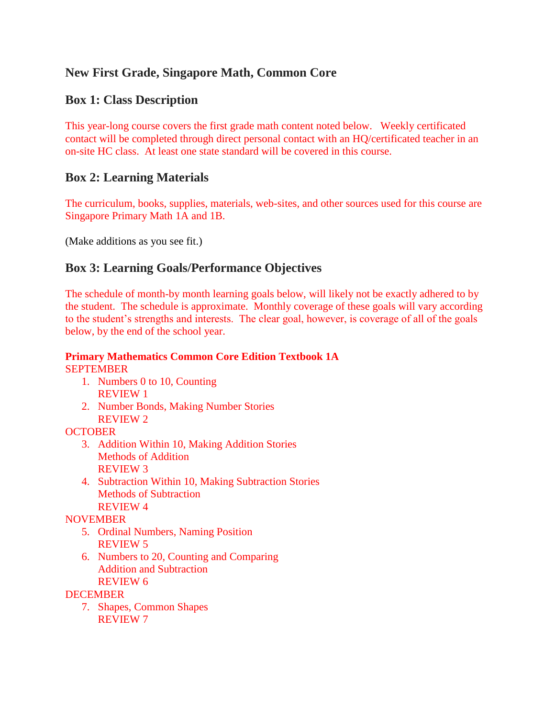# **New First Grade, Singapore Math, Common Core**

## **Box 1: Class Description**

This year-long course covers the first grade math content noted below. Weekly certificated contact will be completed through direct personal contact with an HQ/certificated teacher in an on-site HC class. At least one state standard will be covered in this course.

## **Box 2: Learning Materials**

The curriculum, books, supplies, materials, web-sites, and other sources used for this course are Singapore Primary Math 1A and 1B.

(Make additions as you see fit.)

## **Box 3: Learning Goals/Performance Objectives**

The schedule of month-by month learning goals below, will likely not be exactly adhered to by the student. The schedule is approximate. Monthly coverage of these goals will vary according to the student's strengths and interests. The clear goal, however, is coverage of all of the goals below, by the end of the school year.

## **Primary Mathematics Common Core Edition Textbook 1A** SEPTEMBER

- 1. Numbers 0 to 10, Counting REVIEW 1
- 2. Number Bonds, Making Number Stories REVIEW 2

## **OCTOBER**

- 3. Addition Within 10, Making Addition Stories Methods of Addition REVIEW 3
- 4. Subtraction Within 10, Making Subtraction Stories Methods of Subtraction REVIEW 4

NOVEMBER

- 5. Ordinal Numbers, Naming Position REVIEW 5
- 6. Numbers to 20, Counting and Comparing Addition and Subtraction REVIEW 6

**DECEMBER** 

7. Shapes, Common Shapes REVIEW 7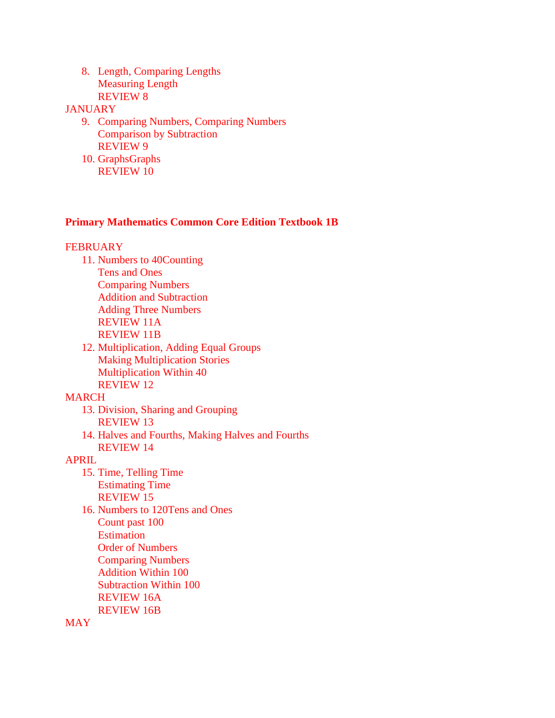8. Length, Comparing Lengths Measuring Length REVIEW 8

#### **JANUARY**

- 9. Comparing Numbers, Comparing Numbers Comparison by Subtraction REVIEW 9
- 10. GraphsGraphs REVIEW 10

### **Primary Mathematics Common Core Edition Textbook 1B**

#### **FEBRUARY**

- 11. Numbers to 40Counting Tens and Ones Comparing Numbers Addition and Subtraction Adding Three Numbers REVIEW 11A REVIEW 11B
- 12. Multiplication, Adding Equal Groups Making Multiplication Stories Multiplication Within 40 REVIEW 12

#### MARCH

- 13. Division, Sharing and Grouping REVIEW 13
- 14. Halves and Fourths, Making Halves and Fourths REVIEW 14

#### APRIL

- 15. Time, Telling Time Estimating Time REVIEW 15
- 16. Numbers to 120Tens and Ones Count past 100 Estimation Order of Numbers Comparing Numbers Addition Within 100 Subtraction Within 100 REVIEW 16A REVIEW 16B

**MAY**